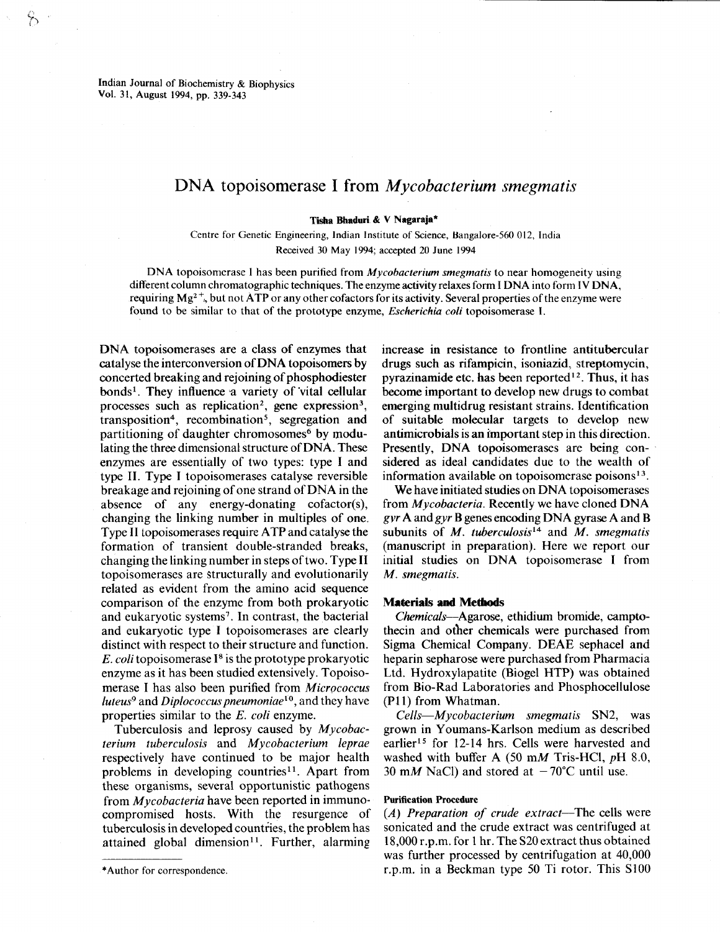Indian Journal of Biochemistry & Biophysics Vol. 31, August 1994, pp. 339-343

# DNA topoisomerase I from *Mycobacterium smegmatis*

Tisha Bhaduri & V Nagaraja\*

Centre for Genetic Engineering, Indian Institute of Science, Bangalore-560 012, India Received 30 May 1994; accepted <sup>20</sup> June 1994

DNA topoisomerase I has been purified from *Mycobacterium smegmatis* to near homogeneity using different column chromatographic techniques. The enzyme activity relaxes form I DNA into form IV DNA, requiring  $Mg^2$ <sup>+</sup>, but not ATP or any other cofactors for its activity. Several properties of the enzyme were found to be similar to that of the prototype enzyme, *Escherichia coli* topoisomerase I.

DNA topoisomerases are a class of enzymes that catalyse the interconversion of DNA topoisomers by concerted breaking and rejoining of phosphodiester bonds<sup>1</sup>. They influence a variety of vital cellular processes such as replication<sup>2</sup>, gene expression<sup>3</sup>, transposition<sup>4</sup>, recombination<sup>5</sup>, segregation and partitioning of daughter chromosomes<sup>6</sup> by modulating the three dimensional structure of DNA . These enzymes are essentially of two types: type I and type II . Type I topoisomerases catalyse reversible breakage and rejoining of one strand of DNA in the absence of any energy-donating cofactor(s), changing the linking number in multiples of one . Type II topoisomerases require ATP and catalyse the formation of transient double-stranded breaks, changing the linking number in steps of two . Type II topoisomerases are Structurally and evolutionarily related as evident from the amino acid sequence comparison of the enzyme from both prokaryotic and eukaryotic systems<sup>7</sup>. In contrast, the bacterial and eukaryotic type I topoisomerases are clearly distinct with respect to their structure and function. E. coli topoisomerase  $I^8$  is the prototype prokaryotic enzyme as it has been studied extensively. Topoisomerase I has also been purified from Micrococcus luteus<sup>9</sup> and *Diplococcus pneumoniae*<sup>10</sup>, and they have properties similar to the E. coli enzyme.

Tuberculosis and leprosy caused by Mycobacterium tuberculosis and Mycobacterium leprae respectively have continued to be major health problems in developing countries<sup>11</sup>. Apart from these organisms, several opportunistic pathogens from *Mycobacteria* have been reported in immunocompromised hosts. With the resurgence of tuberculosis in developed countries, the problem has attained global dimension<sup>11</sup>. Further, alarming

\*Author for correspondence .

increase in resistance to frontline antitubercular drugs such as rifampicin, isoniazid, streptomycin, pyrazinamide etc. has been reported  $12$ . Thus, it has become important to develop new drugs to combat emerging multidrug resistant strains. Identification of suitable molecular targets to develop new antimicrobials is an important step in this direction . Presently, DNA topoisomerases are being considered as ideal candidates due to the wealth of information available on topoisomerase poisons $^{13}$ .

We have initiated studies on DNA topoisomerases from Mycobacteria. Recently we have cloned DNA gvr A andgyr B genes encoding DNA gyrase A and B subunits of  $M$ . tuberculosis<sup>14</sup> and  $M$ . smegmatis (manuscript in preparation). Here we report our initial studies on DNA topoisomerase I from M. smegmatis.

#### Materials and Methods

Chemicals-Agarose, ethidium bromide, camptothecin and other chemicals were purchased from Sigma Chemical Company. DEAE sephacel and heparin sepharose were purchased from Pharmacia Ltd. Hydroxylapatite (Biogel HTP) was obtained from Bio-Rad Laboratories and Phosphocellulose (P11) from Whatman.

 $Cells-Mycobacterium smegmatis SN2, was$ grown in Youmans-Karlson medium as described earlier<sup>15</sup> for 12-14 hrs. Cells were harvested and washed with buffer A (50 mM Tris-HCl,  $pH$  8.0, 30 mM NaCl) and stored at  $-70^{\circ}$ C until use.

#### Purification Procedure

(A) Preparation of crude extract-The cells were sonicated and the crude extract was centrifuged at 18,000 r.p.m. for 1 hr. The S20 extract thus obtained was further processed by centrifugation at 40,000 r.p.m. in a Beckman type 50 Ti rotor. This  $S100$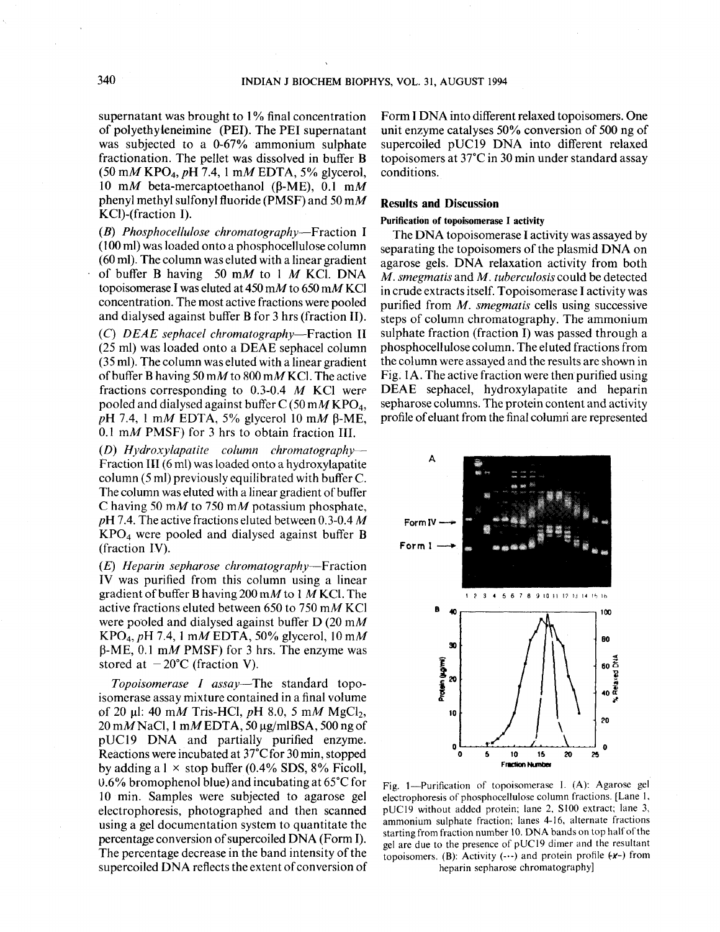supernatant was brought to 1% final concentration of polyethyleneimine (PEI) . The PEI supernatant was subjected to a 0-67% ammonium sulphate fractionation . The pellet was dissolved in buffer B  $(50 \text{ mM KPO}_4, pH 7.4, 1 \text{ mM EDTA}, 5\%$  glycerol, 10 mM beta-mercaptoethanol ( $\beta$ -ME), 0.1 mM phenyl methyl sulfonyl fluoride (PMSF) and 50 mM KCl)-(fraction I).

(B) Phosphocellulose chromatography-Fraction I (100 ml) was loaded onto a phosphocellulose column (60 ml). The column was eluted with a linear gradient of buffer B having 50 mM to 1  $M$  KCl. DNA topoisomerase I was eluted at  $450 \text{ m}$  to  $650 \text{ m}$  KCl concentration . The most active fractions were pooled and dialysed against buffer B for 3 hrs (fraction II) .

(C) DEAE sephacel chromatography-Fraction II (25 ml) was loaded onto a DEAE sephacel column (35 ml). The column was eluted with a linear gradient of buffer B having 50 mM to 800 mM KCl. The active fractions corresponding to  $0.3\n-0.4$  M KCl were pooled and dialysed against buffer  $C$  (50 mM KPO<sub>4</sub>,  $pH$  7.4, 1 mM EDTA, 5% glycerol 10 mM  $\beta$ -ME,  $0.1 \text{ m}$  PMSF) for 3 hrs to obtain fraction III.

(D) Hydroxylapatite column chromatography-Fraction 111 (6 ml) was loaded onto a hydroxylapatite column  $(5 \text{ ml})$  previously equilibrated with buffer C. The column was eluted with a linear gradient of buffer C having 50 mM to 750 mM potassium phosphate,  $pH$  7.4. The active fractions eluted between 0.3-0.4 M KPO4 were pooled and dialysed against buffer B (fraction IV).

 $(E)$  Heparin sepharose chromatography—Fraction IV was purified from this column using a linear gradient of buffer B having 200 mM to 1 M KCl. The active fractions eluted between 650 to 750 mM KCl were pooled and dialysed against buffer D (20 mM KPO<sub>4</sub>, pH 7.4, 1 mM EDTA, 50% glycerol, 10 mM  $\beta$ -ME, 0.1 mM PMSF) for 3 hrs. The enzyme was stored at  $-20^{\circ}$ C (fraction V).

Topoisomerase I assay—The standard topoisomerase assay mixture contained in a final volume of 20 µl: 40 mM Tris-HCl, pH 8.0, 5 mM MgCl<sub>2</sub>,  $20 \text{ m}$ MNaCl, 1 mMEDTA, 50 µg/mlBSA, 500 ng of pUC19 DNA and partially purified enzyme. Reactions were incubated at 37°C for 30 min, stopped by adding a  $1 \times$  stop buffer (0.4% SDS, 8% Ficoll, 0.6% bromophenol blue) and incubating at  $65^{\circ}$ C for 10 min . Samples were subjected to agarose gel electrophoresis, photographed and then scanned using a gel documentation system to quantitate the percentage conversion of supercoiled DNA (Form I). The percentage decrease in the band intensity of the supercoiled DNA reflects the extent of conversion of

Form I DNA into different relaxed topoisomers . One unit enzyme catalyses 50% conversion of 500 ng of supercoiled pUC19 DNA into different relaxed topoisomers at 37°C in 30 min under standard assay conditions.

## Results and Discussion

#### Purification of topoisomerase I activity

The DNA topoisomerase I activity was assayed by separating the topoisomers of the plasmid DNA on agarose gels. DNA relaxation activity from both M. smegmatis and M. tuberculosis could be detected in crude extracts itself. Topoisomerase I activity was purified from  $M$ . *smegmatis* cells using successive steps of column chromatography. The ammonium sulphate fraction (fraction I) was passed through a phosphocellulose column . The eluted fractions from the column were assayed and the results are shown in Fig. IA . The active fraction were then purified using DEAE sephacel, hydroxylapatite and heparin sepharose columns. The protein content and activity profile of eluant from the final columri are represented



Fig. 1-Purification of topoisomerase I. (A): Agarose gel electrophoresis of phosphocellulose column fractions . [Lane 1, pUC19 without added protein; lane 2, S100 extract; lane 3, ammonium sulphate fraction; lanes 4-16, alternate fractions starting from fraction number 10 . DNA bands on top half of the gel are due to the presence of pUCl9 dimer and the resultant topoisomers. (B): Activity  $(-)$  and protein profile  $(x-)$  from heparin sepharose chromatography]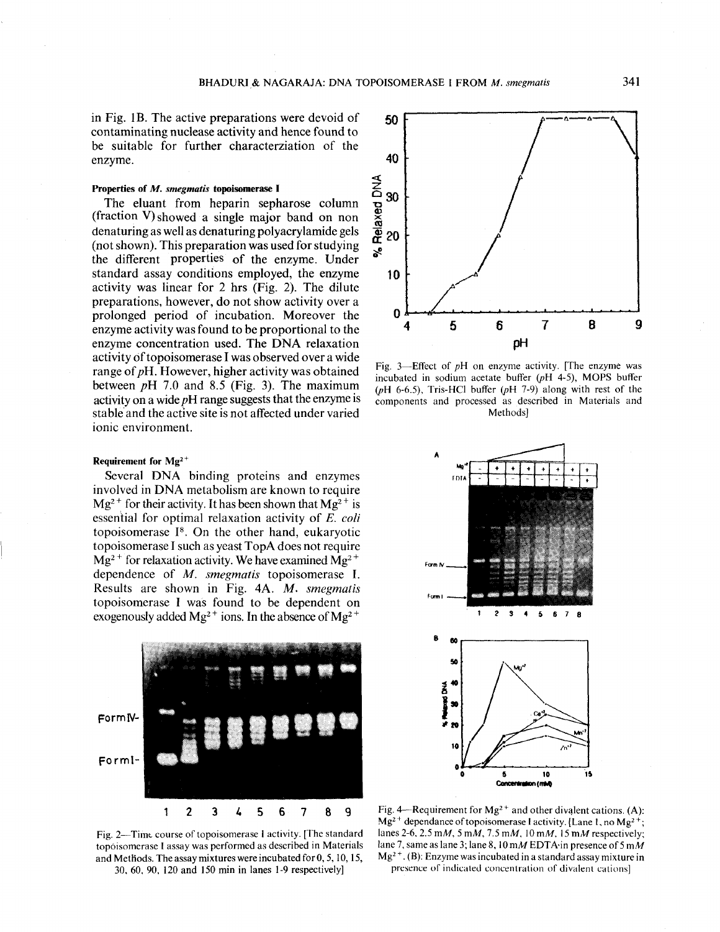in Fig. 1B. The active preparations were devoid of contaminating nuclease activity and hence found to be suitable for further characterziation of the enzyme.

## Properties of M. smegmatis topoisomerase I

 

The eluant from heparin sepharose column (fraction V) showed a single major band on non denaturing as well as denaturing polyacrylamide gels (not shown). This preparation was used for studying the different properties of the enzyme. Under standard assay conditions employed, the enzyme activity was linear for  $2$  hrs (Fig.  $2$ ). The dilute preparations, however, do not show activity over a prolonged period of incubation . Moreover the enzyme activity was found to be proportional to the enzyme concentration used. The DNA relaxation activity of topoisomerase I was observed over a wide range of  $pH$ . However, higher activity was obtained between  $pH$  7.0 and 8.5 (Fig. 3). The maximum activity on a wide  $pH$  range suggests that the enzyme is stable and the active site is not affected under varied ionic environment.

## Requirement for  $Mg^{2+}$

Several DNA binding proteins and enzymes involved in DNA metabolism are known to require  $Mg^{2+}$  for their activity. It has been shown that  $Mg^{2+}$  is essential for optimal relaxation activity of E. coli topoisomerase  $I<sup>8</sup>$ . On the other hand, eukaryotic topoisomerase I such as yeast TopA does not require  $Mg^{2+}$  for relaxation activity. We have examined  $Mg^{2+}$ dependence of  $M$ . smegmatis topoisomerase I. Results are shown in Fig. 4A. M. smegmatis topoisomerase I was found to be dependent on exogenously added  $Mg^{2+}$  ions. In the absence of  $Mg^{2+}$ 



Fig. 2—Time course of topoisomerase I activity. [The standard topoisomerase I assay was performed as described in Materials and Methods . The assay mixtures were incubated for 0, 5, 10, 15, 30, 60, 90, 120 and 150 min in lanes 1-9 respectively]



Fig. 3-Effect of  $pH$  on enzyme activity. [The enzyme was incubated in sodium acetate buffer (pH 4-5), MOPS buffer ( $pH$  6-6.5), Tris-HCl buffer ( $pH$  7-9) along with rest of the components and processed as described in Materials and Methods]



Fig. 4-Requirement for  $Mg^{2+}$  and other divalent cations. (A):  $Mg<sup>2</sup>$  dependance of topoisomerase Factivity. [Lane 1, no Mg<sup>2+</sup>; lanes 2-6, 2.5 mM, 5 mM, 7.5 mM, 10 mM, 15 mM respectively; lane 7, same as lane 3; lane 8,  $10 \text{ m}$  EDTA in presence of 5 mM  $Mg^{2+}$ . (B): Enzyme was incubated in a standard assay mixture in presence of indicated concentration of divalent cations]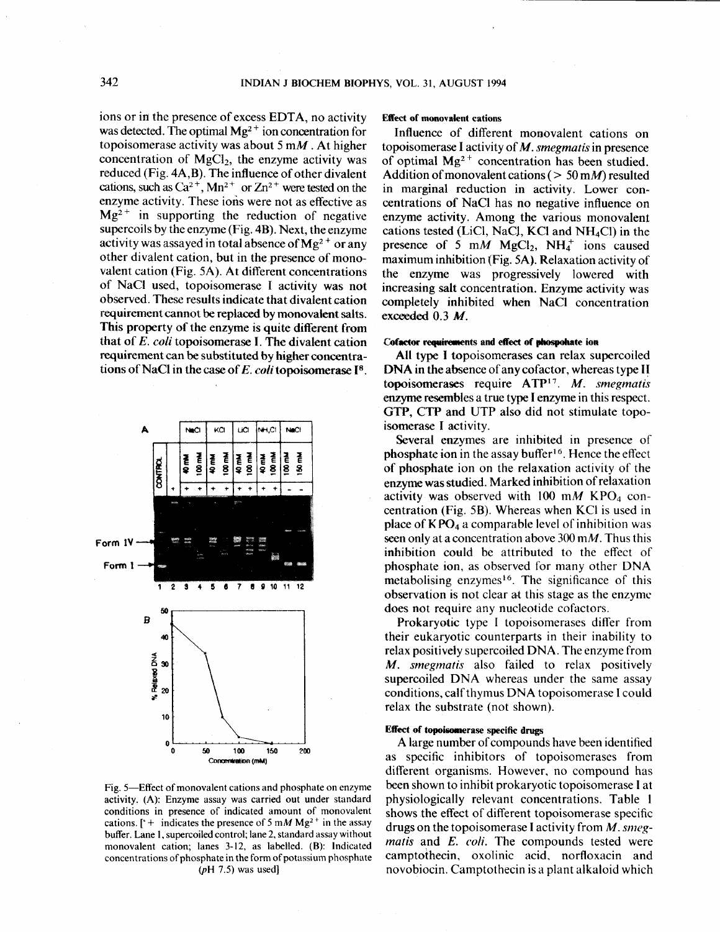$\label{eq:1} \begin{split} \mathcal{H}_{\text{max}}(\mathcal{A}) = \mathcal{H}_{\text{max}}(\mathcal{A}) \end{split}$ 

ions or in the presence of excess EDTA, no activity was detected. The optimal  $Mg^{2+}$  ion concentration for topoisomerase activity was about 5  $mM$ . At higher concentration of  $MgCl<sub>2</sub>$ , the enzyme activity was reduced (Fig. 4A,B) . The influence of other divalent cations, such as  $Ca^{2+}$ , Mn<sup>2+</sup> or Zn<sup>2+</sup> were tested on the enzyme activity. These ions were not as effective as  $Mg<sup>2+</sup>$  in supporting the reduction of negative supercoils by the enzyme  $(Fig. 4B)$ . Next, the enzyme activity was assayed in total absence of  $Mg^{2+}$  or any other divalent cation, but in the presence of monovalent cation (Fig. 5A). At different concentrations of NaCl used, topoisomerase I activity was not observed. These results indicate that divalent cation requirement cannot be replaced by monovalent salts . This property of the enzyme is quite different from that of E. coli topoisomerase I. The divalent cation requirement can be substituted by higher concentrations of NaCl in the case of E. coli topoisomerase  $I^8$ .



Fig. 5-Effect of monovalent cations and phosphate on enzyme activity. (A): Enzyme assay was carried out under standard conditions in presence of indicated amount of monovalent cations. ['+ indicates the presence of 5 mM Mg<sup>2+</sup> in the assay buffer. Lane 1, supercoiled control; lane 2, standard assay without monovalent cation: lanes 3-12, as labelled. (B): Indicated concentrations of phosphate in the form of potassium phosphate  $(pH 7.5)$  was used]

## Effect of monovalent cations

Influence of different monovalent cations on topoisomerase I activity of  $M$ . *smegmatis* in presence of optimal  $Mg^{2+}$  concentration has been studied. Addition of monovalent cations ( $> 50$  mM) resulted in marginal reduction in activity. Lower concentrations of NaCl has no negative influence on enzyme activity. Among the various monovalent cations tested (LiCl, NaCl, KCl and  $NH<sub>4</sub>Cl$ ) in the presence of 5 mM MgCl<sub>2</sub>, NH<sub>4</sub><sup>+</sup> ions caused maximum inhibition (Fig. 5A). Relaxation activity of the enzyme was progressively lowered with increasing salt concentration. Enzyme activity was completely inhibited when NaCl concentration exceeded  $0.3$  M.

#### Cofactor requirements and effect of phospohate ion

All type I topoisomerases can relax supercoiled DNA in the absence of any cofactor, whereas type II topoisomerases require ATP<sup>17</sup>. M. smegmatis enzyme resembles a true type I enzyme in this respect . GTP, CTP and UTP also did not stimulate topoisomerase I activity.

Several enzymes are inhibited in presence of phosphate ion in the assay buffer<sup>16</sup>. Hence the effect of phosphate ion on the relaxation activity of the enzyme was studied . Marked inhibition of relaxation activity was observed with 100 mM KPO<sub>4</sub> concentration (Fig.  $5B$ ). Whereas when KCI is used in place of  $KPO<sub>4</sub>$  a comparable level of inhibition was seen only at a concentration above 300 m $M$ . Thus this inhibition could be attributed to the effect of phosphate ion, as observed for many other DNA metabolising enzymes<sup>16</sup>. The significance of this observation is not clear at this stage as the enzyme does not require any nucleotide cofactors.

Prokaryotic type I topoisomerases differ from their eukaryotic counterparts in their inability to relax positively supercoiled DNA . The enzyme from M. *smegmatis* also failed to relax positively supercoiled DNA whereas under the same assay conditions, calf thymus DNA topoisomerase I could relax the substrate (not shown).

## Effect of topoisomerase specific drugs

A large number of compounds have been identified as specific inhibitors of topoisomerases from different organisms. However, no compound has been shown to inhibit prokaryotic topoisomerase I at physiologically relevant concentrations . Table I shows the effect of different topoisomerase specific drugs on the topoisomerase I activity from  $M$ . smegmatis and E. coli. The compounds tested were camptothecin, oxolinic acid, norfloxacin and novobiocin. Camptothecin is a plant alkaloid which